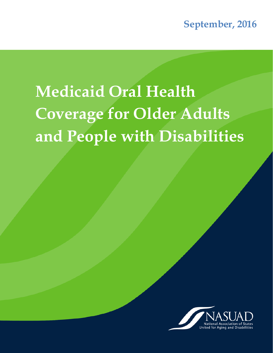# **Medicaid Oral Health Coverage for Older Adults and People with Disabilities**

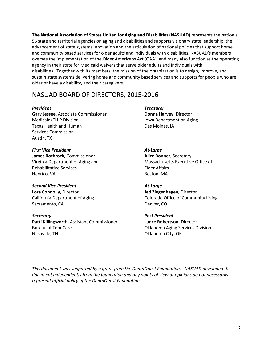**The National Association of States United for Aging and Disabilities (NASUAD)** represents the nation's 56 state and territorial agencies on aging and disabilities and supports visionary state leadership, the advancement of state systems innovation and the articulation of national policies that support home and community based services for older adults and individuals with disabilities. NASUAD's members oversee the implementation of the Older Americans Act (OAA), and many also function as the operating agency in their state for Medicaid waivers that serve older adults and individuals with disabilities. Together with its members, the mission of the organization is to design, improve, and sustain state systems delivering home and community based services and supports for people who are older or have a disability, and their caregivers.

# NASUAD BOARD OF DIRECTORS, 2015-2016

**Gary Jessee,** Associate Commissioner **Donna Harvey, Director** Medicaid/CHIP Division **Internal CHIP Division** Iowa Department on Aging Texas Health and Human Des Moines, IA Services Commission Austin, TX

*First Vice President At-Large*  **James Rothrock,** Commissioner **Alice Bonner,** Secretary Rehabilitative Services **Elder Affairs** Henrico, VA Boston, MA

*Second Vice President At-Large*  **Lora Connolly,** Director **Jed Ziegenhagen,** Director Sacramento, CA Denver, CO

*Secretary Past President*  **Patti Killingworth,** Assistant Commissioner **Lance Robertson,** Director Bureau of TennCare **Oklahoma Aging Services Division** Nashville, TN Contract City, OK Contract City, OK

*President Treasurer* 

Virginia Department of Aging and Massachusetts Executive Office of

California Department of Aging Theorem Colorado Office of Community Living

*This document was supported by a grant from the DentaQuest Foundation. NASUAD developed this document independently from the foundation and any points of view or opinions do not necessarily represent official policy of the DentaQuest Foundation.*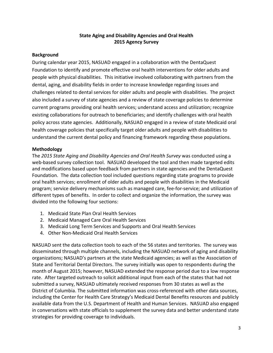# **State Aging and Disability Agencies and Oral Health 2015 Agency Survey**

#### **Background**

During calendar year 2015, NASUAD engaged in a collaboration with the DentaQuest Foundation to identify and promote effective oral health interventions for older adults and people with physical disabilities. This initiative involved collaborating with partners from the dental, aging, and disability fields in order to increase knowledge regarding issues and challenges related to dental services for older adults and people with disabilities. The project also included a survey of state agencies and a review of state coverage policies to determine current programs providing oral health services; understand access and utilization; recognize existing collaborations for outreach to beneficiaries; and identify challenges with oral health policy across state agencies. Additionally, NASUAD engaged in a review of state Medicaid oral health coverage policies that specifically target older adults and people with disabilities to understand the current dental policy and financing framework regarding these populations.

#### **Methodology**

The *2015 State Aging and Disability Agencies and Oral Health Survey* was conducted using a web-based survey collection tool. NASUAD developed the tool and then made targeted edits and modifications based upon feedback from partners in state agencies and the DentaQuest Foundation. The data collection tool included questions regarding state programs to provide oral health services; enrollment of older adults and people with disabilities in the Medicaid program; service delivery mechanisms such as managed care, fee-for-service; and utilization of different types of benefits. In order to collect and organize the information, the survey was divided into the following four sections:

- 1. Medicaid State Plan Oral Health Services
- 2. Medicaid Managed Care Oral Health Services
- 3. Medicaid Long Term Services and Supports and Oral Health Services
- 4. Other Non-Medicaid Oral Health Services

NASUAD sent the data collection tools to each of the 56 states and territories. The survey was disseminated through multiple channels, including the NASUAD network of aging and disability organizations; NASUAD's partners at the state Medicaid agencies; as well as the Association of State and Territorial Dental Directors. The survey initially was open to respondents during the month of August 2015; however, NASUAD extended the response period due to a low response rate. After targeted outreach to solicit additional input from each of the states that had not submitted a survey, NASUAD ultimately received responses from 30 states as well as the District of Columbia. The submitted information was cross-referenced with other data sources, including the Center for Health Care Strategy's Medicaid Dental Benefits resources and publicly available data from the U.S. Department of Health and Human Services. NASUAD also engaged in conversations with state officials to supplement the survey data and better understand state strategies for providing coverage to individuals.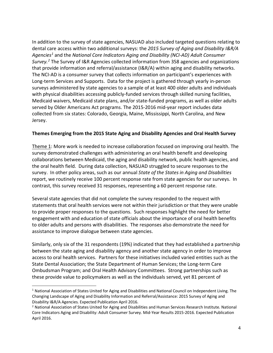In addition to the survey of state agencies, NASUAD also included targeted questions relating to dental care access within two additional surveys: the *2015 Survey of Aging and Disability I&R/A Agencies[1](#page-3-0)* and the *National Core Indicators Aging and Disability (NCI-AD) Adult Consumer Survey. [2](#page-3-1)* The Survey of I&R Agencies collected information from 358 agencies and organizations that provide information and referral/assistance (I&R/A) within aging and disability networks. The NCI-AD is a consumer survey that collects information on participant's experiences with Long-term Services and Supports. Data for the project is gathered through yearly in-person surveys administered by state agencies to a sample of at least 400 older adults and individuals with physical disabilities accessing publicly-funded services through skilled nursing facilities, Medicaid waivers, Medicaid state plans, and/or state-funded programs, as well as older adults served by Older Americans Act programs. The 2015-2016 mid-year report includes data collected from six states: Colorado, Georgia, Maine, Mississippi, North Carolina, and New Jersey.

#### **Themes Emerging from the 2015 State Aging and Disability Agencies and Oral Health Survey**

Theme 1: More work is needed to increase collaboration focused on improving oral health. The survey demonstrated challenges with administering an oral health benefit and developing collaborations between Medicaid, the aging and disability network, public health agencies, and the oral health field. During data collection, NASUAD struggled to secure responses to the survey. In other policy areas, such as our annual *State of the States in Aging and Disabilities*  report, we routinely receive 100 percent response rate from state agencies for our surveys. In contrast, this survey received 31 responses, representing a 60 percent response rate.

Several state agencies that did not complete the survey responded to the request with statements that oral health services were not within their jurisdiction or that they were unable to provide proper responses to the questions. Such responses highlight the need for better engagement with and education of state officials about the importance of oral health benefits to older adults and persons with disabilities. The responses also demonstrate the need for assistance to improve dialogue between state agencies.

Similarly, only six of the 31 respondents (19%) indicated that they had established a partnership between the state aging and disability agency and another state agency in order to improve access to oral health services. Partners for these initiatives included varied entities such as the State Dental Association; the State Department of Human Services; the Long-term Care Ombudsman Program; and Oral Health Advisory Committees. Strong partnerships such as these provide value to policymakers as well as the individuals served, yet 81 percent of

<span id="page-3-0"></span><sup>&</sup>lt;sup>1</sup> National Association of States United for Aging and Disabilities and National Council on Independent Living. The Changing Landscape of Aging and Disability Information and Referral/Assistance: 2015 Survey of Aging and Disability I&R/A Agencies. Expected Publication April 2016.

<span id="page-3-1"></span><sup>&</sup>lt;sup>2</sup> National Association of States United for Aging and Disabilities and Human Services Research Institute. National Core Indicators Aging and Disability: Adult Consumer Survey. Mid-Year Results 2015-2016. Expected Publication April 2016.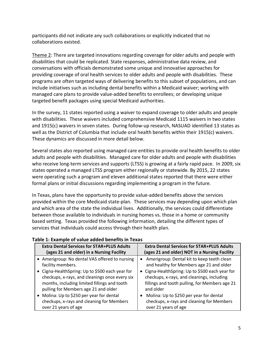participants did not indicate any such collaborations or explicitly indicated that no collaborations existed.

Theme 2: There are targeted innovations regarding coverage for older adults and people with disabilities that could be replicated. State responses, administrative data review, and conversations with officials demonstrated some unique and innovative approaches for providing coverage of oral health services to older adults and people with disabilities. These programs are often targeted ways of delivering benefits to this subset of populations, and can include initiatives such as including dental benefits within a Medicaid waiver; working with managed care plans to provide value-added benefits to enrollees; or developing unique targeted benefit packages using special Medicaid authorities.

In the survey, 11 states reported using a waiver to expand coverage to older adults and people with disabilities. These waivers included comprehensive Medicaid 1115 waivers in two states and 1915(c) waivers in seven states. During follow-up research, NASUAD identified 13 states as well as the District of Columbia that include oral health benefits within their 1915(c) waivers. These dynamics are discussed in more detail below.

Several states also reported using managed care entities to provide oral health benefits to older adults and people with disabilities. Managed care for older adults and people with disabilities who receive long-term services and supports (LTSS) is growing at a fairly rapid pace. In 2009, six states operated a managed LTSS program either regionally or statewide. By 2015, 22 states were operating such a program and eleven additional states reported that there were either formal plans or initial discussions regarding implementing a program in the future.

In Texas, plans have the opportunity to provide value-added benefits above the services provided within the core Medicaid state-plan. These services may depending upon which plan and which area of the state the individual lives. Additionally, the services could differentiate between those available to individuals in nursing homes vs. those in a home or community based setting. Texas provided the following information, detailing the different types of services that individuals could access through their health plan.

| <b>Extra Dental Services for STAR+PLUS Adults</b> | <b>Extra Dental Services for STAR+PLUS Adults</b> |
|---------------------------------------------------|---------------------------------------------------|
| (ages 21 and older) in a Nursing Facility         | (ages 21 and older) NOT in a Nursing Facility     |
| • Amerigroup: No dental VAS offered to nursing    | Amerigroup: Dental kit to keep teeth clean        |
| facility members.                                 | and healthy for Members age 21 and older          |
| • Cigna-HealthSpring: Up to \$500 each year for   | Cigna-HealthSpring: Up to \$500 each year for     |
| checkups, x-rays, and cleanings once every six    | checkups, x-rays, and cleanings, including        |
| months, including limited fillings and tooth      | fillings and tooth pulling, for Members age 21    |
| pulling for Members age 21 and older              | and older                                         |
| • Molina: Up to \$250 per year for dental         | Molina: Up to \$250 per year for dental           |
| checkups, x-rays and cleaning for Members         | checkups, x-rays and cleaning for Members         |
| over 21 years of age                              | over 21 years of age                              |

# **Table 1: Example of value added benefits in Texas**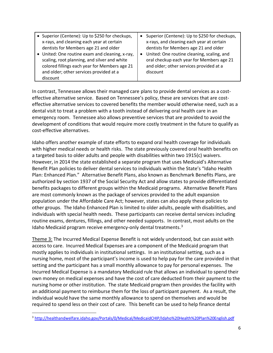| • Superior (Centene): Up to \$250 for checkups,                                                                                                                                                                                        | Superior (Centene): Up to \$250 for checkups,<br>$\bullet$                                                                                                                                                                            |
|----------------------------------------------------------------------------------------------------------------------------------------------------------------------------------------------------------------------------------------|---------------------------------------------------------------------------------------------------------------------------------------------------------------------------------------------------------------------------------------|
| x-rays, and cleaning each year at certain<br>dentists for Members age 21 and older<br>• United: One routine exam and cleaning, x-ray,<br>scaling, root planning, and silver and white<br>colored fillings each year for Members age 21 | x-rays, and cleaning each year at certain<br>dentists for Members age 21 and older<br>United: One routine cleaning, scaling, and<br>$\bullet$<br>oral checkup each year for Members age 21<br>and older; other services provided at a |
| and older; other services provided at a<br>discount                                                                                                                                                                                    | discount                                                                                                                                                                                                                              |

In contrast, Tennessee allows their managed care plans to provide dental services as a costeffective alternative service. Based on Tennessee's policy, these are services that are costeffective alternative services to covered benefits the member would otherwise need, such as a dental visit to treat a problem with a tooth instead of delivering oral health care in an emergency room. Tennessee also allows preventive services that are provided to avoid the development of conditions that would require more costly treatment in the future to qualify as cost-effective alternatives.

Idaho offers another example of state efforts to expand oral health coverage for individuals with higher medical needs or health risks. The state previously covered oral health benefits on a targeted basis to older adults and people with disabilities within two 1915(c) waivers. However, in 2014 the state established a separate program that uses Medicaid's Alternative Benefit Plan policies to deliver dental services to individuals within the State's "Idaho Health Plan: Enhanced Plan." Alternative Benefit Plans, also known as Benchmark Benefits Plans, are authorized by section 1937 of the Social Security Act and allow states to provide differentiated benefits packages to different groups within the Medicaid programs. Alternative Benefit Plans are most commonly known as the package of services provided to the adult expansion population under the Affordable Care Act; however, states can also apply these policies to other groups. The Idaho Enhanced Plan is limited to older adults, people with disabilities, and individuals with special health needs. These participants can receive dental services including routine exams, dentures, fillings, and other needed supports. In contrast, most adults on the Idaho Medicaid program receive emergency-only dental treatments. $3$ 

Theme 3: The Incurred Medical Expense Benefit is not widely understood, but can assist with access to care. Incurred Medical Expenses are a component of the Medicaid program that mostly applies to individuals in institutional settings. In an institutional setting, such as a nursing home, most of the participant's income is used to help pay for the care provided in that setting and the participant has a small monthly allowance to pay for personal expenses. The Incurred Medical Expense is a mandatory Medicaid rule that allows an individual to spend their own money on medical expenses and have the cost of care deducted from their payment to the nursing home or other institution. The state Medicaid program then provides the facility with an additional payment to reimburse them for the loss of participant payment. As a result, the individual would have the same monthly allowance to spend on themselves and would be required to spend less on their cost of care. This benefit can be used to help finance dental

<span id="page-5-0"></span> <sup>3</sup> <http://healthandwelfare.idaho.gov/Portals/0/Medical/MedicaidCHIP/Idaho%20Health%20Plan%20English.pdf>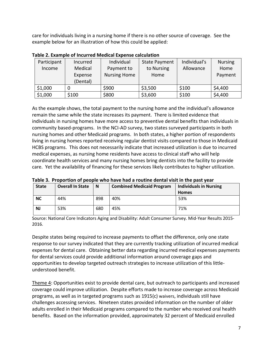care for individuals living in a nursing home if there is no other source of coverage. See the example below for an illustration of how this could be applied:

| Participant | Incurred | Individual          | <b>State Payment</b> | Individual's | <b>Nursing</b> |
|-------------|----------|---------------------|----------------------|--------------|----------------|
| Income      | Medical  | Payment to          | to Nursing           | Allowance    | Home           |
|             | Expense  | <b>Nursing Home</b> | Home                 |              | Payment        |
|             | (Dental) |                     |                      |              |                |
| \$1,000     |          | \$900               | \$3,500              | \$100        | \$4,400        |
| \$1,000     | \$100    | \$800               | \$3,600              | \$100        | \$4,400        |

**Table 2. Example of Incurred Medical Expense calculation**

As the example shows, the total payment to the nursing home and the individual's allowance remain the same while the state increases its payment. There is limited evidence that individuals in nursing homes have more access to preventive dental benefits than individuals in community based-programs. In the NCI-AD survey, two states surveyed participants in both nursing homes and other Medicaid programs. In both states, a higher portion of respondents living in nursing homes reported receiving regular dentist visits compared to those in Medicaid HCBS programs. This does not necessarily indicate that increased utilization is due to incurred medical expenses, as nursing home residents have access to clinical staff who will help coordinate health services and many nursing homes bring dentists into the facility to provide care. Yet the availability of financing for these services likely contributes to higher utilization.

| TUDIC OF THOMOTODI OF MCOMIC WITO HUVC HUU U FOUGHIC UCHIGH VISIGHT GILC MUSC FCUI |                         |     |                                  |                               |
|------------------------------------------------------------------------------------|-------------------------|-----|----------------------------------|-------------------------------|
| <b>State</b>                                                                       | <b>Overall In State</b> | N   | <b>Combined Medicaid Program</b> | <b>Individuals in Nursing</b> |
|                                                                                    |                         |     |                                  | <b>Homes</b>                  |
| <b>NC</b>                                                                          | 44%                     | 898 | 40%                              | 53%                           |
| <b>NJ</b>                                                                          | 53%                     | 680 | 45%                              | 71%                           |

**Table 3. Proportion of people who have had a routine dental visit in the past year**

Source: National Core Indicators Aging and Disability: Adult Consumer Survey. Mid-Year Results 2015- 2016.

Despite states being required to increase payments to offset the difference, only one state response to our survey indicated that they are currently tracking utilization of incurred medical expenses for dental care. Obtaining better data regarding incurred medical expenses payments for dental services could provide additional information around coverage gaps and opportunities to develop targeted outreach strategies to increase utilization of this littleunderstood benefit.

Theme 4: Opportunities exist to provide dental care, but outreach to participants and increased coverage could improve utilization. Despite efforts made to increase coverage across Medicaid programs, as well as in targeted programs such as 1915(c) waivers, individuals still have challenges accessing services. Nineteen states provided information on the number of older adults enrolled in their Medicaid programs compared to the number who received oral health benefits. Based on the information provided, approximately 32 percent of Medicaid enrolled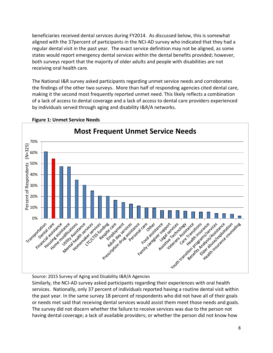beneficiaries received dental services during FY2014. As discussed below, this is somewhat aligned with the 37percent of participants in the NCI-AD survey who indicated that they had a regular dental visit in the past year. The exact service definition may not be aligned, as some states would report emergency dental services within the dental benefits provided; however, both surveys report that the majority of older adults and people with disabilities are not receiving oral health care.

The National I&R survey asked participants regarding unmet service needs and corroborates the findings of the other two surveys. More than half of responding agencies cited dental care, making it the second most frequently reported unmet need. This likely reflects a combination of a lack of access to dental coverage and a lack of access to dental care providers experienced by individuals served through aging and disability I&R/A networks.



# **Figure 1: Unmet Service Needs**

Source: 2015 Survey of Aging and Disability I&R/A Agencies

Similarly, the NCI-AD survey asked participants regarding their experiences with oral health services. Nationally, only 37 percent of individuals reported having a routine dental visit within the past year. In the same survey 18 percent of respondents who did not have all of their goals or needs met said that receiving dental services would assist them meet those needs and goals. The survey did not discern whether the failure to receive services was due to the person not having dental coverage; a lack of available providers; or whether the person did not know how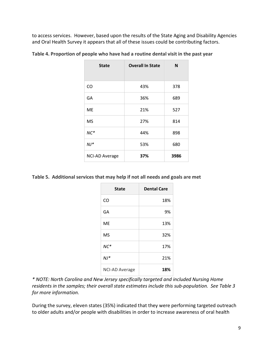to access services. However, based upon the results of the State Aging and Disability Agencies and Oral Health Survey it appears that all of these issues could be contributing factors.

| <b>State</b>          | <b>Overall In State</b> | N    |
|-----------------------|-------------------------|------|
| CO                    | 43%                     | 378  |
| GA                    | 36%                     | 689  |
| ME                    | 21%                     | 527  |
| MS                    | 27%                     | 814  |
| $NC*$                 | 44%                     | 898  |
| $NJ*$                 | 53%                     | 680  |
| <b>NCI-AD Average</b> | 37%                     | 3986 |

**Table 4. Proportion of people who have had a routine dental visit in the past year**

**Table 5. Additional services that may help if not all needs and goals are met**

| <b>State</b>          | <b>Dental Care</b> |
|-----------------------|--------------------|
| CO                    | 18%                |
| GA                    | 9%                 |
| <b>ME</b>             | 13%                |
| <b>MS</b>             | 32%                |
| $NC*$                 | 17%                |
| $NJ*$                 | 21%                |
| <b>NCI-AD Average</b> | 18%                |

*\* NOTE: North Carolina and New Jersey specifically targeted and included Nursing Home residents in the samples; their overall state estimates include this sub-population. See Table 3 for more information.*

During the survey, eleven states (35%) indicated that they were performing targeted outreach to older adults and/or people with disabilities in order to increase awareness of oral health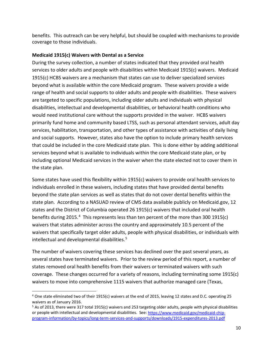benefits. This outreach can be very helpful, but should be coupled with mechanisms to provide coverage to those individuals.

## **Medicaid 1915(c) Waivers with Dental as a Service**

During the survey collection, a number of states indicated that they provided oral health services to older adults and people with disabilities within Medicaid 1915(c) waivers. Medicaid 1915(c) HCBS waivers are a mechanism that states can use to deliver specialized services beyond what is available within the core Medicaid program. These waivers provide a wide range of health and social supports to older adults and people with disabilities. These waivers are targeted to specific populations, including older adults and individuals with physical disabilities, intellectual and developmental disabilities, or behavioral health conditions who would need institutional care without the supports provided in the waiver. HCBS waivers primarily fund home and community based LTSS, such as personal attendant services, adult day services, habilitation, transportation, and other types of assistance with activities of daily living and social supports. However, states also have the option to include primary health services that could be included in the core Medicaid state plan. This is done either by adding additional services beyond what is available to individuals within the core Medicaid state plan, or by including optional Medicaid services in the waiver when the state elected not to cover them in the state plan.

Some states have used this flexibility within 1915(c) waivers to provide oral health services to individuals enrolled in these waivers, including states that have provided dental benefits beyond the state plan services as well as states that do not cover dental benefits within the state plan. According to a NASUAD review of CMS data available publicly on Medicaid.gov, 12 states and the District of Columbia operated 26 1915(c) waivers that included oral health benefits during 2015.[4](#page-9-0) This represents less than ten percent of the more than 300 1915(c) waivers that states administer across the country and approximately 10.5 percent of the waivers that specifically target older adults, people with physical disabilities, or individuals with intellectual and developmental disabilities. [5](#page-9-1)

The number of waivers covering these services has declined over the past several years, as several states have terminated waivers. Prior to the review period of this report, a number of states removed oral health benefits from their waivers or terminated waivers with such coverage. These changes occurred for a variety of reasons, including terminating some 1915(c) waivers to move into comprehensive 1115 waivers that authorize managed care (Texas,

<span id="page-9-0"></span> <sup>4</sup> One state eliminated two of their 1915(c) waivers at the end of 2015, leaving 12 states and D.C. operating 25 waivers as of January 2016.

<span id="page-9-1"></span><sup>&</sup>lt;sup>5</sup> As of 2013, there were 317 total 1915(c) waivers and 253 targeting older adults, people with physical disabilities or people with intellectual and developmental disabilities. See[: https://www.medicaid.gov/medicaid-chip](https://www.medicaid.gov/medicaid-chip-program-information/by-topics/long-term-services-and-supports/downloads/1915-expenditures-2013.pdf)[program-information/by-topics/long-term-services-and-supports/downloads/1915-expenditures-2013.pdf](https://www.medicaid.gov/medicaid-chip-program-information/by-topics/long-term-services-and-supports/downloads/1915-expenditures-2013.pdf)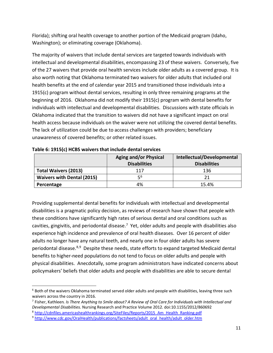Florida); shifting oral health coverage to another portion of the Medicaid program (Idaho, Washington); or eliminating coverage (Oklahoma).

The majority of waivers that include dental services are targeted towards individuals with intellectual and developmental disabilities, encompassing 23 of these waivers. Conversely, five of the 27 waivers that provide oral health services include older adults as a covered group. It is also worth noting that Oklahoma terminated two waivers for older adults that included oral health benefits at the end of calendar year 2015 and transitioned those individuals into a 1915(c) program without dental services, resulting in only three remaining programs at the beginning of 2016. Oklahoma did not modify their 1915(c) program with dental benefits for individuals with intellectual and developmental disabilities. Discussions with state officials in Oklahoma indicated that the transition to waivers did not have a significant impact on oral health access because individuals on the waiver were not utilizing the covered dental benefits. The lack of utilization could be due to access challenges with providers; beneficiary unawareness of covered benefits; or other related issues.

|                                   | <b>Aging and/or Physical</b> | Intellectual/Developmental |
|-----------------------------------|------------------------------|----------------------------|
|                                   | <b>Disabilities</b>          | <b>Disabilities</b>        |
| <b>Total Waivers (2013)</b>       | 117                          | 136                        |
| <b>Waivers with Dental (2015)</b> | 56                           | 21                         |
| Percentage                        | 4%                           | 15.4%                      |

| Table 6: 1915(c) HCBS waivers that include dental services |
|------------------------------------------------------------|
|------------------------------------------------------------|

Providing supplemental dental benefits for individuals with intellectual and developmental disabilities is a pragmatic policy decision, as reviews of research have shown that people with these conditions have significantly high rates of serious dental and oral conditions such as cavities, gingivitis, and periodontal disease.<sup>[7](#page-10-1)</sup> Yet, older adults and people with disabilities also experience high incidence and prevalence of oral health diseases. Over 16 percent of older adults no longer have any natural teeth, and nearly one in four older adults has severe periodontal disease.<sup>8,9</sup> Despite these needs, state efforts to expand targeted Medicaid dental benefits to higher-need populations do not tend to focus on older adults and people with physical disabilities. Anecdotally, some program administrators have indicated concerns about policymakers' beliefs that older adults and people with disabilities are able to secure dental

<span id="page-10-0"></span> <sup>6</sup> Both of the waivers Oklahoma terminated served older adults and people with disabilities, leaving three such waivers across the country in 2016.

<span id="page-10-1"></span><sup>7</sup> Fisher, Kathleen*. Is There Anything to Smile about? A Review of Oral Care for Individuals with Intellectual and Developmental Disabilities.* Nursing Research and Practice Volume 2012. doi:10.1155/2012/860692

<span id="page-10-2"></span><sup>8</sup> [http://cdnfiles.americashealthrankings.org/SiteFiles/Reports/2015\\_Am\\_Health\\_Ranking.pdf](http://cdnfiles.americashealthrankings.org/SiteFiles/Reports/2015_Am_Health_Ranking.pdf)

<span id="page-10-3"></span><sup>9</sup> [http://www.cdc.gov/OralHealth/publications/factsheets/adult\\_oral\\_health/adult\\_older.htm](http://www.cdc.gov/OralHealth/publications/factsheets/adult_oral_health/adult_older.htm)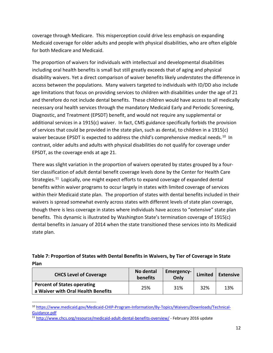coverage through Medicare. This misperception could drive less emphasis on expanding Medicaid coverage for older adults and people with physical disabilities, who are often eligible for both Medicare and Medicaid.

The proportion of waivers for individuals with intellectual and developmental disabilities including oral health benefits is small but still greatly exceeds that of aging and physical disability waivers. Yet a direct comparison of waiver benefits likely *understates* the difference in access between the populations. Many waivers targeted to individuals with ID/DD also include age limitations that focus on providing services to children with disabilities under the age of 21 and therefore do not include dental benefits. These children would have access to all medically necessary oral health services through the mandatory Medicaid Early and Periodic Screening, Diagnostic, and Treatment (EPSDT) benefit, and would not require any supplemental or additional services in a 1915(c) waiver. In fact, CMS guidance specifically forbids the provision of services that could be provided in the state plan, such as dental, to children in a 1915(c) waiver because EPSDT is expected to address the child's comprehensive medical needs.<sup>10</sup> In contrast, older adults and adults with physical disabilities do not qualify for coverage under EPSDT, as the coverage ends at age 21.

There was slight variation in the proportion of waivers operated by states grouped by a fourtier classification of adult dental benefit coverage levels done by the Center for Health Care Strategies.<sup>[11](#page-11-1)</sup> Logically, one might expect efforts to expand coverage of expanded dental benefits within waiver programs to occur largely in states with limited coverage of services within their Medicaid state plan. The proportion of states with dental benefits included in their waivers is spread somewhat evenly across states with different levels of state plan coverage, though there is less coverage in states where individuals have access to "extensive" state plan benefits. This dynamic is illustrated by Washington State's termination coverage of 1915(c) dental benefits in January of 2014 when the state transitioned these services into its Medicaid state plan.

# **Table 7: Proportion of States with Dental Benefits in Waivers, by Tier of Coverage in State Plan**

| <b>CHCS Level of Coverage</b>                                            | No dental<br>benefits | <b>Emergency-</b><br>Only | <b>Limited</b> | <b>Extensive</b> |
|--------------------------------------------------------------------------|-----------------------|---------------------------|----------------|------------------|
| <b>Percent of States operating</b><br>a Waiver with Oral Health Benefits | 25%                   | 31%                       | 32%            | 13%              |

<span id="page-11-0"></span><sup>10</sup> [https://www.medicaid.gov/Medicaid-CHIP-Program-Information/By-Topics/Waivers/Downloads/Technical-](https://www.medicaid.gov/Medicaid-CHIP-Program-Information/By-Topics/Waivers/Downloads/Technical-Guidance.pdf)[Guidance.pdf](https://www.medicaid.gov/Medicaid-CHIP-Program-Information/By-Topics/Waivers/Downloads/Technical-Guidance.pdf)

<span id="page-11-1"></span><sup>11</sup> <http://www.chcs.org/resource/medicaid-adult-dental-benefits-overview/> - February 2016 update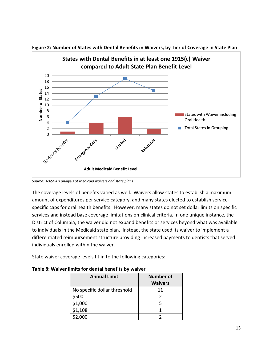

**Figure 2: Number of States with Dental Benefits in Waivers, by Tier of Coverage in State Plan**

*Source: NASUAD analysis of Medicaid waivers and state plans*

The coverage levels of benefits varied as well. Waivers allow states to establish a maximum amount of expenditures per service category, and many states elected to establish servicespecific caps for oral health benefits. However, many states do not set dollar limits on specific services and instead base coverage limitations on clinical criteria. In one unique instance, the District of Columbia, the waiver did not expand benefits or services beyond what was available to individuals in the Medicaid state plan. Instead, the state used its waiver to implement a differentiated reimbursement structure providing increased payments to dentists that served individuals enrolled within the waiver.

State waiver coverage levels fit in to the following categories:

| <b>Annual Limit</b>          | <b>Number of</b><br><b>Waivers</b> |
|------------------------------|------------------------------------|
| No specific dollar threshold | 11                                 |
| \$500                        |                                    |
| \$1,000                      |                                    |
| \$1,108                      |                                    |
| \$2,000                      |                                    |

**Table 8: Waiver limits for dental benefits by waiver**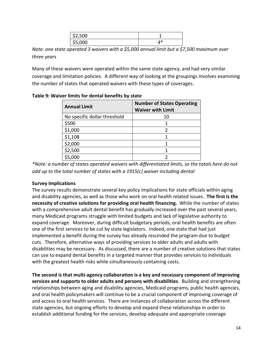| \$2,500 |   |
|---------|---|
| \$5,000 | ж |

*Note: one state operated 3 waivers with a \$5,000 annual limit but a \$7,500 maximum over three years*

Many of these waivers were operated within the same state agency, and had very similar coverage and limitation policies. A different way of looking at the groupings involves examining the number of states that operated waivers with these types of coverages.

| <b>Annual Limit</b>          | <b>Number of States Operating</b><br><b>Waiver with Limit</b> |  |  |
|------------------------------|---------------------------------------------------------------|--|--|
| No specific dollar threshold | 10                                                            |  |  |
| \$500                        |                                                               |  |  |
| \$1,000                      | 2                                                             |  |  |
| \$1,108                      |                                                               |  |  |
| \$2,000                      |                                                               |  |  |
| \$2,500                      |                                                               |  |  |
| \$5,000                      |                                                               |  |  |

**Table 9: Waiver limits for dental benefits by state**

*\*Note: a number of states operated waivers with differentiated limits, so the totals here do not add up to the total number of states with a 1915(c) waiver including dental*

## **Survey Implications**

The survey results demonstrate several key policy implications for state officials within aging and disability agencies, as well as those who work on oral health related issues. **The first is the necessity of creative solutions for providing oral health financing.** While the number of states with a comprehensive adult dental benefit has gradually increased over the past several years, many Medicaid programs struggle with limited budgets and lack of legislative authority to expand coverage. Moreover, during difficult budgetary periods, oral health benefits are often one of the first services to be cut by state legislators. Indeed, one state that had just implemented a benefit during the survey has already rescinded the program due to budget cuts. Therefore, alternative ways of providing services to older adults and adults with disabilities may be necessary. As discussed, there are a number of creative solutions that states can use to expand dental benefits in a targeted manner that provides services to individuals with the greatest health risks while simultaneously containing costs.

**The second is that multi-agency collaboration is a key and necessary component of improving services and supports to older adults and persons with disabilities**. Building and strengthening relationships between aging and disability agencies, Medicaid programs, public health agencies, and oral health policymakers will continue to be a crucial component of improving coverage of and access to oral health services. There are instances of collaboration across the different state agencies, but ongoing efforts to develop and expand these relationships in order to establish additional funding for the services, develop adequate and appropriate coverage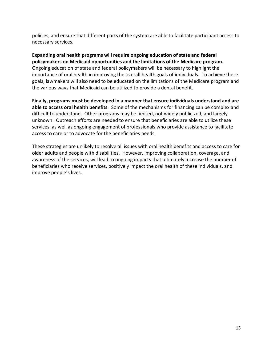policies, and ensure that different parts of the system are able to facilitate participant access to necessary services.

**Expanding oral health programs will require ongoing education of state and federal policymakers on Medicaid opportunities and the limitations of the Medicare program.** Ongoing education of state and federal policymakers will be necessary to highlight the importance of oral health in improving the overall health goals of individuals. To achieve these goals, lawmakers will also need to be educated on the limitations of the Medicare program and the various ways that Medicaid can be utilized to provide a dental benefit.

**Finally, programs must be developed in a manner that ensure individuals understand and are able to access oral health benefits**. Some of the mechanisms for financing can be complex and difficult to understand. Other programs may be limited, not widely publicized, and largely unknown. Outreach efforts are needed to ensure that beneficiaries are able to utilize these services, as well as ongoing engagement of professionals who provide assistance to facilitate access to care or to advocate for the beneficiaries needs.

These strategies are unlikely to resolve all issues with oral health benefits and access to care for older adults and people with disabilities. However, improving collaboration, coverage, and awareness of the services, will lead to ongoing impacts that ultimately increase the number of beneficiaries who receive services, positively impact the oral health of these individuals, and improve people's lives.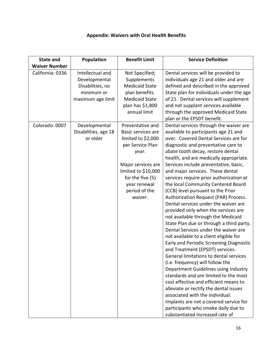# **Appendix: Waivers with Oral Health Benefits**

| <b>State and</b>     | Population           | <b>Benefit Limit</b>  | <b>Service Definition</b>                |
|----------------------|----------------------|-----------------------|------------------------------------------|
| <b>Waiver Number</b> |                      |                       |                                          |
| California: 0336     | Intellectual and     | Not Specified;        | Dental services will be provided to      |
|                      | Developmental        | Supplements           | individuals age 21 and older and are     |
|                      | Disabilities, no     | <b>Medicaid State</b> | defined and described in the approved    |
|                      | minimum or           | plan benefits.        | State plan for individuals under the age |
|                      | maximum age limit    | <b>Medicaid State</b> | of 21. Dental services will supplement   |
|                      |                      | plan has \$1,800      | and not supplant services available      |
|                      |                      | annual limit          | through the approved Medicaid State      |
|                      |                      |                       | plan or the EPSDT benefit.               |
| Colorado: 0007       | Developmental        | Preventative and      | Dental services through the waiver are   |
|                      | Disabilities, age 18 | Basic services are    | available to participants age 21 and     |
|                      | or older             | limited to \$2,000    | over. Covered Dental Services are for    |
|                      |                      | per Service Plan      | diagnostic and preventative care to      |
|                      |                      | year.                 | abate tooth decay, restore dental        |
|                      |                      |                       | health, and are medically appropriate.   |
|                      |                      | Major services are    | Services include preventative, basic,    |
|                      |                      | limited to \$10,000   | and major services. These dental         |
|                      |                      | for the five (5)      | services require prior authorization at  |
|                      |                      | year renewal          | the local Community Centered Board       |
|                      |                      | period of the         | (CCB) level pursuant to the Prior        |
|                      |                      | waiver.               | Authorization Request (PAR) Process.     |
|                      |                      |                       | Dental services under the waiver are     |
|                      |                      |                       | provided only when the services are      |
|                      |                      |                       | not available through the Medicaid       |
|                      |                      |                       | State Plan due or through a third party. |
|                      |                      |                       | Dental Services under the waiver are     |
|                      |                      |                       | not available to a client eligible for   |
|                      |                      |                       | Early and Periodic Screening Diagnostic  |
|                      |                      |                       | and Treatment (EPSDT) services.          |
|                      |                      |                       | General limitations to dental services   |
|                      |                      |                       | (i.e. frequency) will follow the         |
|                      |                      |                       | Department Guidelines using industry     |
|                      |                      |                       | standards and are limited to the most    |
|                      |                      |                       | cost effective and efficient means to    |
|                      |                      |                       | alleviate or rectify the dental issues   |
|                      |                      |                       | associated with the individual.          |
|                      |                      |                       | Implants are not a covered service for   |
|                      |                      |                       | participants who smoke daily due to      |
|                      |                      |                       | substantiated increased rate of          |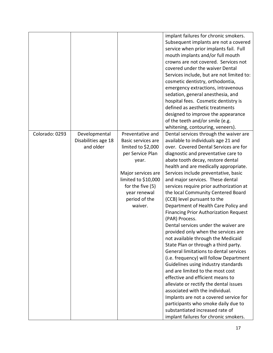|                |                     |                     | implant failures for chronic smokers.        |
|----------------|---------------------|---------------------|----------------------------------------------|
|                |                     |                     | Subsequent implants are not a covered        |
|                |                     |                     | service when prior implants fail. Full       |
|                |                     |                     | mouth implants and/or full mouth             |
|                |                     |                     | crowns are not covered. Services not         |
|                |                     |                     |                                              |
|                |                     |                     | covered under the waiver Dental              |
|                |                     |                     | Services include, but are not limited to:    |
|                |                     |                     | cosmetic dentistry, orthodontia,             |
|                |                     |                     | emergency extractions, intravenous           |
|                |                     |                     | sedation, general anesthesia, and            |
|                |                     |                     | hospital fees. Cosmetic dentistry is         |
|                |                     |                     | defined as aesthetic treatments              |
|                |                     |                     | designed to improve the appearance           |
|                |                     |                     | of the teeth and/or smile (e.g.              |
|                |                     |                     | whitening, contouring, veneers).             |
| Colorado: 0293 | Developmental       | Preventative and    | Dental services through the waiver are       |
|                | Disabilities age 18 | Basic services are  | available to individuals age 21 and          |
|                | and older           | limited to \$2,000  | over. Covered Dental Services are for        |
|                |                     | per Service Plan    | diagnostic and preventative care to          |
|                |                     | year.               | abate tooth decay, restore dental            |
|                |                     |                     | health and are medically appropriate.        |
|                |                     | Major services are  | Services include preventative, basic         |
|                |                     | limited to \$10,000 | and major services. These dental             |
|                |                     | for the five (5)    |                                              |
|                |                     |                     | services require prior authorization at      |
|                |                     | year renewal        | the local Community Centered Board           |
|                |                     | period of the       | (CCB) level pursuant to the                  |
|                |                     | waiver.             | Department of Health Care Policy and         |
|                |                     |                     | <b>Financing Prior Authorization Request</b> |
|                |                     |                     | (PAR) Process.                               |
|                |                     |                     | Dental services under the waiver are         |
|                |                     |                     | provided only when the services are          |
|                |                     |                     | not available through the Medicaid           |
|                |                     |                     | State Plan or through a third party.         |
|                |                     |                     | General limitations to dental services       |
|                |                     |                     | (i.e. frequency) will follow Department      |
|                |                     |                     | Guidelines using industry standards          |
|                |                     |                     | and are limited to the most cost             |
|                |                     |                     | effective and efficient means to             |
|                |                     |                     | alleviate or rectify the dental issues       |
|                |                     |                     | associated with the individual.              |
|                |                     |                     | Implants are not a covered service for       |
|                |                     |                     | participants who smoke daily due to          |
|                |                     |                     | substantiated increased rate of              |
|                |                     |                     | implant failures for chronic smokers.        |
|                |                     |                     |                                              |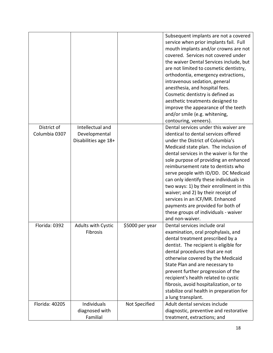|                              |                                                           |                 | Subsequent implants are not a covered<br>service when prior implants fail. Full<br>mouth implants and/or crowns are not<br>covered. Services not covered under<br>the waiver Dental Services include, but<br>are not limited to cosmetic dentistry,<br>orthodontia, emergency extractions,<br>intravenous sedation, general<br>anesthesia, and hospital fees.<br>Cosmetic dentistry is defined as<br>aesthetic treatments designed to<br>improve the appearance of the teeth<br>and/or smile (e.g. whitening,<br>contouring, veneers).                                                       |
|------------------------------|-----------------------------------------------------------|-----------------|----------------------------------------------------------------------------------------------------------------------------------------------------------------------------------------------------------------------------------------------------------------------------------------------------------------------------------------------------------------------------------------------------------------------------------------------------------------------------------------------------------------------------------------------------------------------------------------------|
| District of<br>Columbia 0307 | Intellectual and<br>Developmental<br>Disabilities age 18+ |                 | Dental services under this waiver are<br>identical to dental services offered<br>under the District of Columbia's<br>Medicaid state plan. The inclusion of<br>dental services in the waiver is for the<br>sole purpose of providing an enhanced<br>reimbursement rate to dentists who<br>serve people with ID/DD. DC Medicaid<br>can only identify these individuals in<br>two ways: 1) by their enrollment in this<br>waiver; and 2) by their receipt of<br>services in an ICF/MR. Enhanced<br>payments are provided for both of<br>these groups of individuals - waiver<br>and non-waiver. |
| Florida: 0392                | <b>Adults with Cystic</b><br>Fibrosis                     | \$5000 per year | Dental services include oral<br>examination, oral prophylaxis, and<br>dental treatment prescribed by a<br>dentist. The recipient is eligible for<br>dental procedures that are not<br>otherwise covered by the Medicaid<br>State Plan and are necessary to<br>prevent further progression of the<br>recipient's health related to cystic<br>fibrosis, avoid hospitalization, or to<br>stabilize oral health in preparation for<br>a lung transplant.                                                                                                                                         |
| Florida: 40205               | Individuals<br>diagnosed with<br>Familial                 | Not Specified   | Adult dental services include<br>diagnostic, preventive and restorative<br>treatment, extractions; and                                                                                                                                                                                                                                                                                                                                                                                                                                                                                       |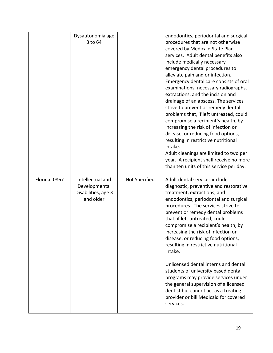|               | Dysautonomia age<br>3 to 64                                           |               | endodontics, periodontal and surgical<br>procedures that are not otherwise<br>covered by Medicaid State Plan<br>services. Adult dental benefits also<br>include medically necessary<br>emergency dental procedures to<br>alleviate pain and or infection.<br>Emergency dental care consists of oral<br>examinations, necessary radiographs,<br>extractions, and the incision and<br>drainage of an abscess. The services<br>strive to prevent or remedy dental<br>problems that, if left untreated, could<br>compromise a recipient's health, by<br>increasing the risk of infection or<br>disease, or reducing food options,<br>resulting in restrictive nutritional<br>intake.<br>Adult cleanings are limited to two per<br>year. A recipient shall receive no more<br>than ten units of this service per day. |
|---------------|-----------------------------------------------------------------------|---------------|------------------------------------------------------------------------------------------------------------------------------------------------------------------------------------------------------------------------------------------------------------------------------------------------------------------------------------------------------------------------------------------------------------------------------------------------------------------------------------------------------------------------------------------------------------------------------------------------------------------------------------------------------------------------------------------------------------------------------------------------------------------------------------------------------------------|
| Florida: 0867 | Intellectual and<br>Developmental<br>Disabilities, age 3<br>and older | Not Specified | Adult dental services include<br>diagnostic, preventive and restorative<br>treatment, extractions; and<br>endodontics, periodontal and surgical<br>procedures. The services strive to<br>prevent or remedy dental problems<br>that, if left untreated, could<br>compromise a recipient's health, by<br>increasing the risk of infection or<br>disease, or reducing food options,<br>resulting in restrictive nutritional<br>intake.<br>Unlicensed dental interns and dental<br>students of university based dental<br>programs may provide services under<br>the general supervision of a licensed<br>dentist but cannot act as a treating<br>provider or bill Medicaid for covered<br>services.                                                                                                                 |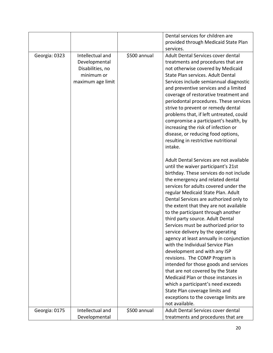|               |                                                                                          |              | Dental services for children are<br>provided through Medicaid State Plan                                                                                                                                                                                                                                                                                                                                                                                                                                                                                                                                                                                                                                                                                                                                                                                                                                                                                                                                      |
|---------------|------------------------------------------------------------------------------------------|--------------|---------------------------------------------------------------------------------------------------------------------------------------------------------------------------------------------------------------------------------------------------------------------------------------------------------------------------------------------------------------------------------------------------------------------------------------------------------------------------------------------------------------------------------------------------------------------------------------------------------------------------------------------------------------------------------------------------------------------------------------------------------------------------------------------------------------------------------------------------------------------------------------------------------------------------------------------------------------------------------------------------------------|
| Georgia: 0323 | Intellectual and<br>Developmental<br>Disabilities, no<br>minimum or<br>maximum age limit | \$500 annual | services.<br>Adult Dental Services cover dental<br>treatments and procedures that are<br>not otherwise covered by Medicaid<br>State Plan services. Adult Dental<br>Services include semiannual diagnostic<br>and preventive services and a limited<br>coverage of restorative treatment and<br>periodontal procedures. These services<br>strive to prevent or remedy dental<br>problems that, if left untreated, could<br>compromise a participant's health, by<br>increasing the risk of infection or<br>disease, or reducing food options,<br>resulting in restrictive nutritional<br>intake.<br>Adult Dental Services are not available<br>until the waiver participant's 21st<br>birthday. These services do not include<br>the emergency and related dental<br>services for adults covered under the<br>regular Medicaid State Plan. Adult<br>Dental Services are authorized only to<br>the extent that they are not available<br>to the participant through another<br>third party source. Adult Dental |
|               |                                                                                          |              | Services must be authorized prior to<br>service delivery by the operating<br>agency at least annually in conjunction<br>with the Individual Service Plan<br>development and with any ISP                                                                                                                                                                                                                                                                                                                                                                                                                                                                                                                                                                                                                                                                                                                                                                                                                      |
|               |                                                                                          |              | revisions. The COMP Program is<br>intended for those goods and services<br>that are not covered by the State<br>Medicaid Plan or those instances in                                                                                                                                                                                                                                                                                                                                                                                                                                                                                                                                                                                                                                                                                                                                                                                                                                                           |
|               |                                                                                          |              | which a participant's need exceeds<br>State Plan coverage limits and<br>exceptions to the coverage limits are<br>not available.                                                                                                                                                                                                                                                                                                                                                                                                                                                                                                                                                                                                                                                                                                                                                                                                                                                                               |
| Georgia: 0175 | Intellectual and<br>Developmental                                                        | \$500 annual | Adult Dental Services cover dental<br>treatments and procedures that are                                                                                                                                                                                                                                                                                                                                                                                                                                                                                                                                                                                                                                                                                                                                                                                                                                                                                                                                      |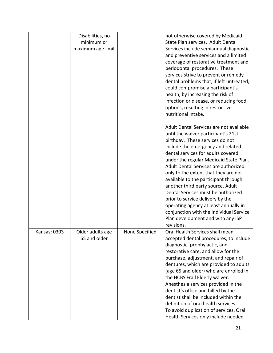|              | Disabilities, no<br>minimum or<br>maximum age limit |                | not otherwise covered by Medicaid<br>State Plan services. Adult Dental<br>Services include semiannual diagnostic<br>and preventive services and a limited<br>coverage of restorative treatment and<br>periodontal procedures. These<br>services strive to prevent or remedy<br>dental problems that, if left untreated,<br>could compromise a participant's<br>health, by increasing the risk of<br>infection or disease, or reducing food<br>options, resulting in restrictive<br>nutritional intake.<br>Adult Dental Services are not available                         |
|--------------|-----------------------------------------------------|----------------|---------------------------------------------------------------------------------------------------------------------------------------------------------------------------------------------------------------------------------------------------------------------------------------------------------------------------------------------------------------------------------------------------------------------------------------------------------------------------------------------------------------------------------------------------------------------------|
|              |                                                     |                | until the waiver participant's 21st<br>birthday. These services do not<br>include the emergency and related<br>dental services for adults covered<br>under the regular Medicaid State Plan.<br>Adult Dental Services are authorized<br>only to the extent that they are not<br>available to the participant through<br>another third party source. Adult<br>Dental Services must be authorized<br>prior to service delivery by the<br>operating agency at least annually in<br>conjunction with the Individual Service<br>Plan development and with any ISP<br>revisions. |
| Kansas: 0303 | Older adults age<br>65 and older                    | None Specified | Oral Health Services shall mean<br>accepted dental procedures, to include<br>diagnostic, prophylactic, and<br>restorative care, and allow for the<br>purchase, adjustment, and repair of<br>dentures, which are provided to adults<br>(age 65 and older) who are enrolled in<br>the HCBS Frail Elderly waiver.<br>Anesthesia services provided in the<br>dentist's office and billed by the<br>dentist shall be included within the<br>definition of oral health services.<br>To avoid duplication of services, Oral<br>Health Services only include needed               |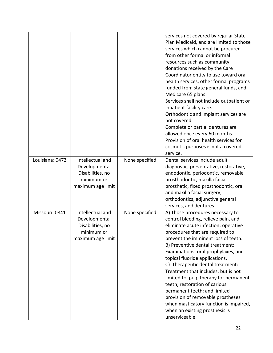|                 |                                                                                          |                | services not covered by regular State<br>Plan Medicaid, and are limited to those<br>services which cannot be procured<br>from other formal or informal<br>resources such as community<br>donations received by the Care<br>Coordinator entity to use toward oral<br>health services, other formal programs<br>funded from state general funds, and<br>Medicare 65 plans.<br>Services shall not include outpatient or<br>inpatient facility care.<br>Orthodontic and implant services are<br>not covered.<br>Complete or partial dentures are<br>allowed once every 60 months.<br>Provision of oral health services for<br>cosmetic purposes is not a covered<br>service. |
|-----------------|------------------------------------------------------------------------------------------|----------------|--------------------------------------------------------------------------------------------------------------------------------------------------------------------------------------------------------------------------------------------------------------------------------------------------------------------------------------------------------------------------------------------------------------------------------------------------------------------------------------------------------------------------------------------------------------------------------------------------------------------------------------------------------------------------|
| Louisiana: 0472 | Intellectual and<br>Developmental<br>Disabilities, no<br>minimum or<br>maximum age limit | None specified | Dental services include adult<br>diagnostic, preventative, restorative,<br>endodontic, periodontic, removable<br>prosthodontic, maxilla facial<br>prosthetic, fixed prosthodontic, oral<br>and maxilla facial surgery,<br>orthodontics, adjunctive general<br>services, and dentures.                                                                                                                                                                                                                                                                                                                                                                                    |
| Missouri: 0841  | Intellectual and<br>Developmental<br>Disabilities, no<br>minimum or<br>maximum age limit | None specified | A) Those procedures necessary to<br>control bleeding, relieve pain, and<br>eliminate acute infection; operative<br>procedures that are required to<br>prevent the imminent loss of teeth.<br>B) Preventive dental treatment:<br>Examinations, oral prophylaxes, and<br>topical fluoride applications.<br>C) Therapeutic dental treatment:<br>Treatment that includes, but is not<br>limited to, pulp therapy for permanent<br>teeth; restoration of carious<br>permanent teeth; and limited<br>provision of removable prostheses<br>when masticatory function is impaired,<br>when an existing prosthesis is<br>unserviceable.                                           |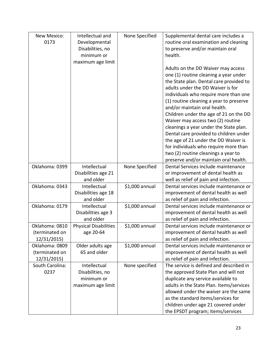| New Mexico:     | Intellectual and             | None Specified | Supplemental dental care includes a      |
|-----------------|------------------------------|----------------|------------------------------------------|
| 0173            | Developmental                |                | routine oral examination and cleaning    |
|                 | Disabilities, no             |                | to preserve and/or maintain oral         |
|                 | minimum or                   |                | health.                                  |
|                 | maximum age limit            |                |                                          |
|                 |                              |                | Adults on the DD Waiver may access       |
|                 |                              |                | one (1) routine cleaning a year under    |
|                 |                              |                | the State plan. Dental care provided to  |
|                 |                              |                | adults under the DD Waiver is for        |
|                 |                              |                | individuals who require more than one    |
|                 |                              |                | (1) routine cleaning a year to preserve  |
|                 |                              |                | and/or maintain oral health.             |
|                 |                              |                | Children under the age of 21 on the DD   |
|                 |                              |                | Waiver may access two (2) routine        |
|                 |                              |                | cleanings a year under the State plan.   |
|                 |                              |                | Dental care provided to children under   |
|                 |                              |                | the age of 21 under the DD Waiver is     |
|                 |                              |                | for individuals who require more than    |
|                 |                              |                | two (2) routine cleanings a year to      |
|                 |                              |                | preserve and/or maintain oral health.    |
| Oklahoma: 0399  | Intellectual                 | None Specified | Dental Services include maintenance      |
|                 | Disabilities age 21          |                | or improvement of dental health as       |
|                 | and older                    |                | well as relief of pain and infection.    |
| Oklahoma: 0343  | Intellectual                 | \$1,000 annual | Dental services include maintenance or   |
|                 | Disabilities age 18          |                | improvement of dental health as well     |
|                 | and older                    |                | as relief of pain and infection.         |
| Oklahoma: 0179  | Intellectual                 | \$1,000 annual | Dental services include maintenance or   |
|                 | Disabilities age 3           |                | improvement of dental health as well     |
|                 | and older                    |                | as relief of pain and infection.         |
| Oklahoma: 0810  | <b>Physical Disabilities</b> | \$1,000 annual | Dental services include maintenance or   |
| (terminated on  | age 20-64                    |                | improvement of dental health as well     |
| 12/31/2015)     |                              |                | as relief of pain and infection.         |
| Oklahoma: 0809  | Older adults age             | \$1,000 annual | Dental services include maintenance or   |
| (terminated on  | 65 and older                 |                | improvement of dental health as well     |
| 12/31/2015)     |                              |                | as relief of pain and infection.         |
| South Carolina: | Intellectual                 | None specified | The service is defined and described in  |
| 0237            | Disabilities, no             |                | the approved State Plan and will not     |
|                 | minimum or                   |                | duplicate any service available to       |
|                 | maximum age limit            |                | adults in the State Plan. Items/services |
|                 |                              |                | allowed under the waiver are the same    |
|                 |                              |                | as the standard items/services for       |
|                 |                              |                | children under age 21 covered under      |
|                 |                              |                | the EPSDT program; items/services        |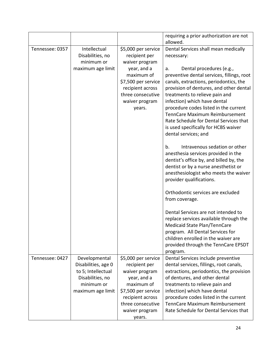|                 |                                |                                         | requiring a prior authorization are not<br>allowed.                   |
|-----------------|--------------------------------|-----------------------------------------|-----------------------------------------------------------------------|
| Tennessee: 0357 | Intellectual                   | \$5,000 per service                     | Dental Services shall mean medically                                  |
|                 | Disabilities, no               | recipient per                           | necessary:                                                            |
|                 | minimum or                     | waiver program                          |                                                                       |
|                 | maximum age limit              | year, and a                             | Dental procedures (e.g.,<br>a.                                        |
|                 |                                | maximum of                              | preventive dental services, fillings, root                            |
|                 |                                | \$7,500 per service                     | canals, extractions, periodontics, the                                |
|                 |                                | recipient across                        | provision of dentures, and other dental                               |
|                 |                                | three consecutive                       | treatments to relieve pain and                                        |
|                 |                                | waiver program                          | infection) which have dental                                          |
|                 |                                | years.                                  | procedure codes listed in the current                                 |
|                 |                                |                                         | TennCare Maximum Reimbursement                                        |
|                 |                                |                                         | Rate Schedule for Dental Services that                                |
|                 |                                |                                         | is used specifically for HCBS waiver                                  |
|                 |                                |                                         | dental services; and                                                  |
|                 |                                |                                         | Intravenous sedation or other<br>b.                                   |
|                 |                                |                                         | anesthesia services provided in the                                   |
|                 |                                |                                         | dentist's office by, and billed by, the                               |
|                 |                                |                                         | dentist or by a nurse anesthetist or                                  |
|                 |                                |                                         | anesthesiologist who meets the waiver                                 |
|                 |                                |                                         | provider qualifications.                                              |
|                 |                                |                                         | Orthodontic services are excluded                                     |
|                 |                                |                                         | from coverage.                                                        |
|                 |                                |                                         | Dental Services are not intended to                                   |
|                 |                                |                                         | replace services available through the                                |
|                 |                                |                                         | Medicaid State Plan/TennCare                                          |
|                 |                                |                                         | program. All Dental Services for                                      |
|                 |                                |                                         | children enrolled in the waiver are                                   |
|                 |                                |                                         | provided through the TennCare EPSDT                                   |
|                 |                                |                                         | program.                                                              |
| Tennessee: 0427 | Developmental                  | \$5,000 per service                     | Dental Services include preventive                                    |
|                 | Disabilities, age 0            | recipient per                           | dental services, fillings, root canals,                               |
|                 | to 5; Intellectual             | waiver program                          | extractions, periodontics, the provision                              |
|                 | Disabilities, no<br>minimum or | year, and a                             | of dentures, and other dental                                         |
|                 |                                | maximum of                              | treatments to relieve pain and                                        |
|                 | maximum age limit              | \$7,500 per service<br>recipient across | infection) which have dental<br>procedure codes listed in the current |
|                 |                                | three consecutive                       | TennCare Maximum Reimbursement                                        |
|                 |                                | waiver program                          | Rate Schedule for Dental Services that                                |
|                 |                                | years.                                  |                                                                       |
|                 |                                |                                         |                                                                       |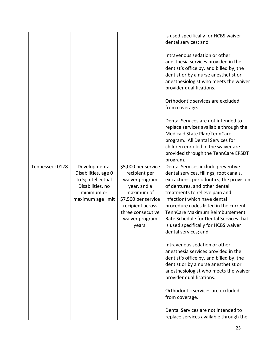|                 |                                                                                                                   |                                                                                                                                                                                 | is used specifically for HCBS waiver<br>dental services; and<br>Intravenous sedation or other<br>anesthesia services provided in the<br>dentist's office by, and billed by, the<br>dentist or by a nurse anesthetist or<br>anesthesiologist who meets the waiver<br>provider qualifications.<br>Orthodontic services are excluded<br>from coverage.<br>Dental Services are not intended to<br>replace services available through the<br>Medicaid State Plan/TennCare<br>program. All Dental Services for<br>children enrolled in the waiver are<br>provided through the TennCare EPSDT<br>program.                                                                                                                                                                                        |
|-----------------|-------------------------------------------------------------------------------------------------------------------|---------------------------------------------------------------------------------------------------------------------------------------------------------------------------------|-------------------------------------------------------------------------------------------------------------------------------------------------------------------------------------------------------------------------------------------------------------------------------------------------------------------------------------------------------------------------------------------------------------------------------------------------------------------------------------------------------------------------------------------------------------------------------------------------------------------------------------------------------------------------------------------------------------------------------------------------------------------------------------------|
| Tennessee: 0128 | Developmental<br>Disabilities, age 0<br>to 5; Intellectual<br>Disabilities, no<br>minimum or<br>maximum age limit | \$5,000 per service<br>recipient per<br>waiver program<br>year, and a<br>maximum of<br>\$7,500 per service<br>recipient across<br>three consecutive<br>waiver program<br>years. | Dental Services include preventive<br>dental services, fillings, root canals,<br>extractions, periodontics, the provision<br>of dentures, and other dental<br>treatments to relieve pain and<br>infection) which have dental<br>procedure codes listed in the current<br>TennCare Maximum Reimbursement<br>Rate Schedule for Dental Services that<br>is used specifically for HCBS waiver<br>dental services; and<br>Intravenous sedation or other<br>anesthesia services provided in the<br>dentist's office by, and billed by, the<br>dentist or by a nurse anesthetist or<br>anesthesiologist who meets the waiver<br>provider qualifications.<br>Orthodontic services are excluded<br>from coverage.<br>Dental Services are not intended to<br>replace services available through the |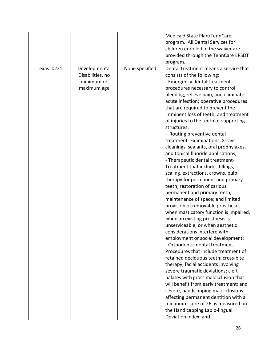|             |                  |                | Medicaid State Plan/TennCare                          |
|-------------|------------------|----------------|-------------------------------------------------------|
|             |                  |                | program. All Dental Services for                      |
|             |                  |                | children enrolled in the waiver are                   |
|             |                  |                | provided through the TennCare EPSDT                   |
|             |                  |                | program.                                              |
| Texas: 0221 | Developmental    | None specified | Dental treatment means a service that                 |
|             | Disabilities, no |                | consists of the following:                            |
|             | minimum or       |                | - Emergency dental treatment-                         |
|             | maximum age      |                | procedures necessary to control                       |
|             |                  |                |                                                       |
|             |                  |                | bleeding, relieve pain, and eliminate                 |
|             |                  |                | acute infection; operative procedures                 |
|             |                  |                | that are required to prevent the                      |
|             |                  |                | imminent loss of teeth; and treatment                 |
|             |                  |                | of injuries to the teeth or supporting<br>structures; |
|             |                  |                | - Routing preventive dental                           |
|             |                  |                | treatment-Examinations, X-rays,                       |
|             |                  |                | cleanings, sealants, oral prophylaxes,                |
|             |                  |                |                                                       |
|             |                  |                | and topical fluoride applications;                    |
|             |                  |                | - Therapeutic dental treatment-                       |
|             |                  |                | Treatment that includes fillings,                     |
|             |                  |                | scaling, extractions, crowns, pulp                    |
|             |                  |                | therapy for permanent and primary                     |
|             |                  |                | teeth; restoration of carious                         |
|             |                  |                | permanent and primary teeth;                          |
|             |                  |                | maintenance of space; and limited                     |
|             |                  |                | provision of removable prostheses                     |
|             |                  |                | when masticatory function is impaired,                |
|             |                  |                | when an existing prosthesis is                        |
|             |                  |                | unserviceable, or when aesthetic                      |
|             |                  |                | considerations interfere with                         |
|             |                  |                | employment or social development;                     |
|             |                  |                | - Orthodontic dental treatment-                       |
|             |                  |                | Procedures that include treatment of                  |
|             |                  |                | retained deciduous teeth; cross-bite                  |
|             |                  |                | therapy; facial accidents involving                   |
|             |                  |                | severe traumatic deviations; cleft                    |
|             |                  |                | palates with gross malocclusion that                  |
|             |                  |                | will benefit from early treatment; and                |
|             |                  |                | severe, handicapping malocclusions                    |
|             |                  |                | affecting permanent dentition with a                  |
|             |                  |                | minimum score of 26 as measured on                    |
|             |                  |                | the Handicapping Labio-lingual                        |
|             |                  |                | Deviation Index; and                                  |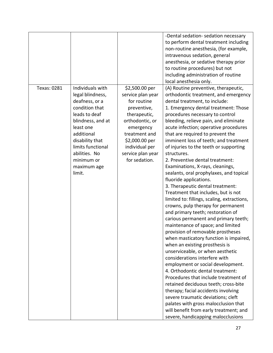|             |                                                                                                                                                                                                                                           |                                                                                                                                                                                                              | -Dental sedation- sedation necessary<br>to perform dental treatment including<br>non-routine anesthesia, (for example,<br>intravenous sedation, general<br>anesthesia, or sedative therapy prior<br>to routine procedures) but not<br>including administration of routine<br>local anesthesia only.                                                                                                                                                                                                                                                                                                                                                                                                                                                                                                                                                                                                                                                                                                                                                                                                                                                                                                                                                                                                                                                                                                |
|-------------|-------------------------------------------------------------------------------------------------------------------------------------------------------------------------------------------------------------------------------------------|--------------------------------------------------------------------------------------------------------------------------------------------------------------------------------------------------------------|----------------------------------------------------------------------------------------------------------------------------------------------------------------------------------------------------------------------------------------------------------------------------------------------------------------------------------------------------------------------------------------------------------------------------------------------------------------------------------------------------------------------------------------------------------------------------------------------------------------------------------------------------------------------------------------------------------------------------------------------------------------------------------------------------------------------------------------------------------------------------------------------------------------------------------------------------------------------------------------------------------------------------------------------------------------------------------------------------------------------------------------------------------------------------------------------------------------------------------------------------------------------------------------------------------------------------------------------------------------------------------------------------|
| Texas: 0281 | Individuals with<br>legal blindness,<br>deafness, or a<br>condition that<br>leads to deaf<br>blindness, and at<br>least one<br>additional<br>disability that<br>limits functional<br>abilities. No<br>minimum or<br>maximum age<br>limit. | \$2,500.00 per<br>service plan year<br>for routine<br>preventive,<br>therapeutic,<br>orthodontic, or<br>emergency<br>treatment and<br>\$2,000.00 per<br>individual per<br>service plan year<br>for sedation. | (A) Routine preventive, therapeutic,<br>orthodontic treatment, and emergency<br>dental treatment, to include:<br>1. Emergency dental treatment: Those<br>procedures necessary to control<br>bleeding, relieve pain, and eliminate<br>acute infection; operative procedures<br>that are required to prevent the<br>imminent loss of teeth; and treatment<br>of injuries to the teeth or supporting<br>structures.<br>2. Preventive dental treatment:<br>Examinations, X-rays, cleanings,<br>sealants, oral prophylaxes, and topical<br>fluoride applications.<br>3. Therapeutic dental treatment:<br>Treatment that includes, but is not<br>limited to: fillings, scaling, extractions,<br>crowns, pulp therapy for permanent<br>and primary teeth; restoration of<br>carious permanent and primary teeth;<br>maintenance of space; and limited<br>provision of removable prostheses<br>when masticatory function is impaired,<br>when an existing prosthesis is<br>unserviceable, or when aesthetic<br>considerations interfere with<br>employment or social development.<br>4. Orthodontic dental treatment:<br>Procedures that include treatment of<br>retained deciduous teeth; cross-bite<br>therapy; facial accidents involving<br>severe traumatic deviations; cleft<br>palates with gross malocclusion that<br>will benefit from early treatment; and<br>severe, handicapping malocclusions |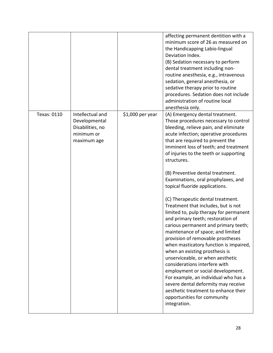|             |                                                                                    |                   | affecting permanent dentition with a<br>minimum score of 26 as measured on<br>the Handicapping Labio-lingual<br>Deviation Index.<br>(B) Sedation necessary to perform<br>dental treatment including non-<br>routine anesthesia, e.g., intravenous<br>sedation, general anesthesia, or<br>sedative therapy prior to routine<br>procedures. Sedation does not include<br>administration of routine local<br>anesthesia only.                                                                                                                                                                                                                                                                                                                                                                                                                                                                                                                                                                                                                             |
|-------------|------------------------------------------------------------------------------------|-------------------|--------------------------------------------------------------------------------------------------------------------------------------------------------------------------------------------------------------------------------------------------------------------------------------------------------------------------------------------------------------------------------------------------------------------------------------------------------------------------------------------------------------------------------------------------------------------------------------------------------------------------------------------------------------------------------------------------------------------------------------------------------------------------------------------------------------------------------------------------------------------------------------------------------------------------------------------------------------------------------------------------------------------------------------------------------|
| Texas: 0110 | Intellectual and<br>Developmental<br>Disabilities, no<br>minimum or<br>maximum age | $$1,000$ per year | (A) Emergency dental treatment.<br>Those procedures necessary to control<br>bleeding, relieve pain, and eliminate<br>acute infection; operative procedures<br>that are required to prevent the<br>imminent loss of teeth; and treatment<br>of injuries to the teeth or supporting<br>structures.<br>(B) Preventive dental treatment.<br>Examinations, oral prophylaxes, and<br>topical fluoride applications.<br>(C) Therapeutic dental treatment.<br>Treatment that includes, but is not<br>limited to, pulp therapy for permanent<br>and primary teeth; restoration of<br>carious permanent and primary teeth;<br>maintenance of space; and limited<br>provision of removable prostheses<br>when masticatory function is impaired,<br>when an existing prosthesis is<br>unserviceable, or when aesthetic<br>considerations interfere with<br>employment or social development.<br>For example, an individual who has a<br>severe dental deformity may receive<br>aesthetic treatment to enhance their<br>opportunities for community<br>integration. |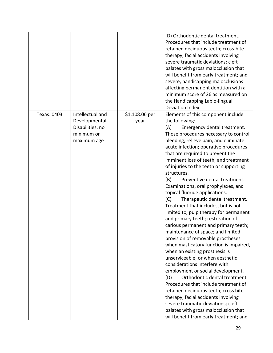| Texas: 0403 | Intellectual and                                               | \$1,108.06 per | (D) Orthodontic dental treatment.<br>Procedures that include treatment of<br>retained deciduous teeth; cross-bite<br>therapy; facial accidents involving<br>severe traumatic deviations; cleft<br>palates with gross malocclusion that<br>will benefit from early treatment; and<br>severe, handicapping malocclusions<br>affecting permanent dentition with a<br>minimum score of 26 as measured on<br>the Handicapping Labio-lingual<br>Deviation Index.<br>Elements of this component include                                                                                                                                                                                                                                                                                                                                                                                                                                                                                                                                                                                                                                                         |
|-------------|----------------------------------------------------------------|----------------|----------------------------------------------------------------------------------------------------------------------------------------------------------------------------------------------------------------------------------------------------------------------------------------------------------------------------------------------------------------------------------------------------------------------------------------------------------------------------------------------------------------------------------------------------------------------------------------------------------------------------------------------------------------------------------------------------------------------------------------------------------------------------------------------------------------------------------------------------------------------------------------------------------------------------------------------------------------------------------------------------------------------------------------------------------------------------------------------------------------------------------------------------------|
|             | Developmental<br>Disabilities, no<br>minimum or<br>maximum age | year           | the following:<br>(A)<br>Emergency dental treatment.<br>Those procedures necessary to control<br>bleeding, relieve pain, and eliminate<br>acute infection; operative procedures<br>that are required to prevent the<br>imminent loss of teeth; and treatment<br>of injuries to the teeth or supporting<br>structures.<br>Preventive dental treatment.<br>(B)<br>Examinations, oral prophylaxes, and<br>topical fluoride applications.<br>(C)<br>Therapeutic dental treatment.<br>Treatment that includes, but is not<br>limited to, pulp therapy for permanent<br>and primary teeth; restoration of<br>carious permanent and primary teeth;<br>maintenance of space; and limited<br>provision of removable prostheses<br>when masticatory function is impaired,<br>when an existing prosthesis is<br>unserviceable, or when aesthetic<br>considerations interfere with<br>employment or social development.<br>Orthodontic dental treatment.<br>(D)<br>Procedures that include treatment of<br>retained deciduous teeth; cross bite<br>therapy; facial accidents involving<br>severe traumatic deviations; cleft<br>palates with gross malocclusion that |
|             |                                                                |                | will benefit from early treatment; and                                                                                                                                                                                                                                                                                                                                                                                                                                                                                                                                                                                                                                                                                                                                                                                                                                                                                                                                                                                                                                                                                                                   |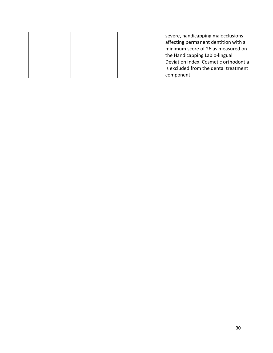|  |            | severe, handicapping malocclusions<br>affecting permanent dentition with a<br>minimum score of 26 as measured on<br>the Handicapping Labio-lingual |
|--|------------|----------------------------------------------------------------------------------------------------------------------------------------------------|
|  |            | Deviation Index. Cosmetic orthodontia<br>is excluded from the dental treatment                                                                     |
|  | component. |                                                                                                                                                    |